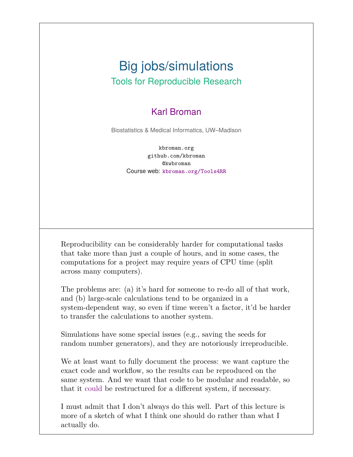#### Big jobs/simulations Tools for Reproducible Research

#### Karl Broman

Biostatistics & Medical Informatics, UW–Madison

kbroman.org github.com/kbroman @kwbroman Course web: kbroman.org/Tools4RR

Reproducibility can be considerably harder for computational tasks that take more than just a couple of hours, and in some cases, the computations for a project may require years of CPU time (split across many computers).

The problems are: (a) it's hard for someone to re-do all of that work, and (b) large-scale calculations tend to be organized in a system-dependent way, so even if time weren't a factor, it'd be harder to transfer the calculations to another system.

Simulations have some special issues (e.g., saving the seeds for random number generators), and they are notoriously irreproducible.

We at least want to fully document the process: we want capture the exact code and workflow, so the results can be reproduced on the same system. And we want that code to be modular and readable, so that it could be restructured for a different system, if necessary.

I must admit that I don't always do this well. Part of this lecture is more of a sketch of what I think one should do rather than what I actually do.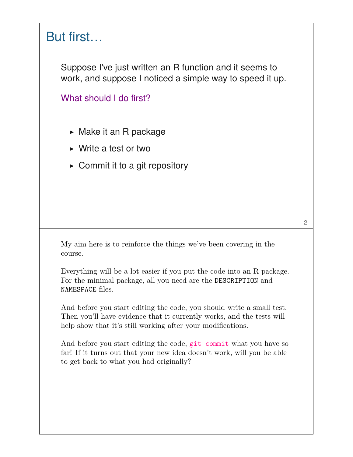#### But first…

Suppose I've just written an R function and it seems to work, and suppose I noticed a simple way to speed it up.

What should I do first?

- ▶ Make it an R package
- ▶ Write a test or two
- $\triangleright$  Commit it to a git repository

My aim here is to reinforce the things we've been covering in the course.

Everything will be a lot easier if you put the code into an R package. For the minimal package, all you need are the DESCRIPTION and NAMESPACE files.

And before you start editing the code, you should write a small test. Then you'll have evidence that it currently works, and the tests will help show that it's still working after your modifications.

And before you start editing the code, git commit what you have so far! If it turns out that your new idea doesn't work, will you be able to get back to what you had originally?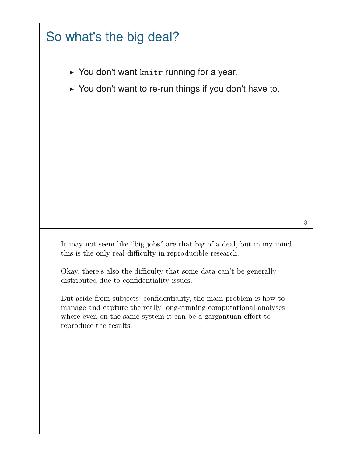#### So what's the big deal?

- ▶ You don't want knitr running for a year.
- ▶ You don't want to re-run things if you don't have to.

It may not seem like "big jobs" are that big of a deal, but in my mind this is the only real difficulty in reproducible research.

3

Okay, there's also the difficulty that some data can't be generally distributed due to confidentiality issues.

But aside from subjects' confidentiality, the main problem is how to manage and capture the really long-running computational analyses where even on the same system it can be a gargantuan effort to reproduce the results.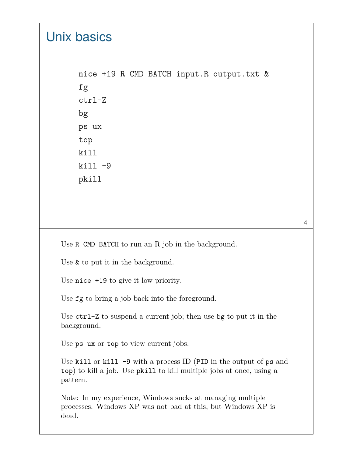## Unix basics

nice +19 R CMD BATCH input.R output.txt & fg ctrl-Z bg ps ux top kill  $kill -9$ pkill

Use R CMD BATCH to run an R job in the background.

Use & to put it in the background.

Use nice +19 to give it low priority.

Use fg to bring a job back into the foreground.

Use ctrl-Z to suspend a current job; then use bg to put it in the background.

Use ps ux or top to view current jobs.

Use kill or kill  $-9$  with a process ID (PID in the output of ps and top) to kill a job. Use pkill to kill multiple jobs at once, using a pattern.

Note: In my experience, Windows sucks at managing multiple processes. Windows XP was not bad at this, but Windows XP is dead.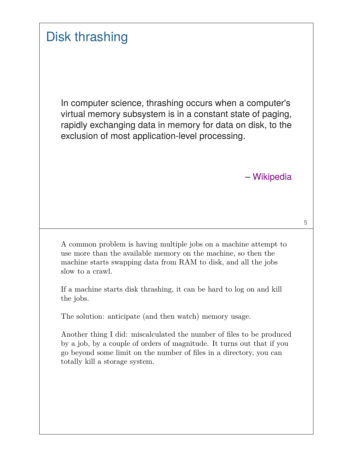# Disk thrashing

In computer science, thrashing occurs when a computer's virtual memory subsystem is in a constant state of paging, rapidly exchanging data in memory for data on disk, to the exclusion of most application-level processing.

– Wikipedia

5

A common problem is having multiple jobs on a machine attempt to use more than the available memory on the machine, so then the machine starts swapping data from RAM to disk, and all the jobs slow to a crawl.

If a machine starts disk thrashing, it can be hard to log on and kill the jobs.

The solution: anticipate (and then watch) memory usage.

Another thing I did: miscalculated the number of files to be produced by a job, by a couple of orders of magnitude. It turns out that if you go beyond some limit on the number of files in a directory, you can totally kill a storage system.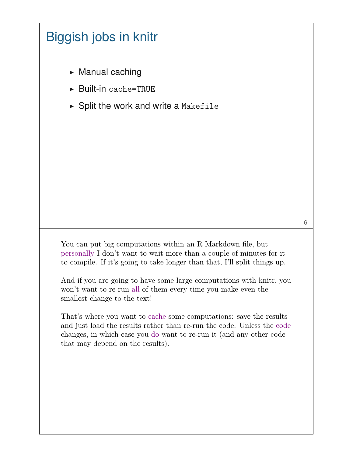# Biggish jobs in knitr

- $\triangleright$  Manual caching
- ▶ Built-in cache=TRUE
- ▶ Split the work and write a Makefile

You can put big computations within an R Markdown file, but personally I don't want to wait more than a couple of minutes for it to compile. If it's going to take longer than that, I'll split things up.

And if you are going to have some large computations with knitr, you won't want to re-run all of them every time you make even the smallest change to the text!

That's where you want to cache some computations: save the results and just load the results rather than re-run the code. Unless the code changes, in which case you do want to re-run it (and any other code that may depend on the results).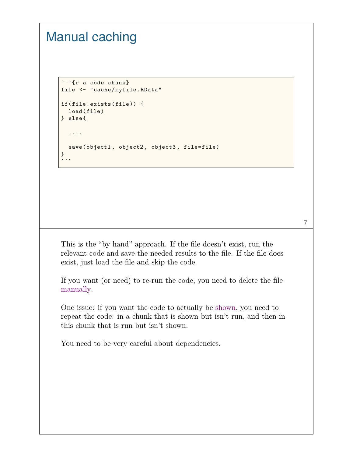#### Manual caching

```
```{r a_code_chunk}
file <- "cache/myfile.RData"
if(file.exists(file)) {
 load(file)
} else{
  ....
  save(object1, object2, object3, file=file)
}
\ddotsc
```
This is the "by hand" approach. If the file doesn't exist, run the relevant code and save the needed results to the file. If the file does exist, just load the file and skip the code.

If you want (or need) to re-run the code, you need to delete the file manually.

One issue: if you want the code to actually be shown, you need to repeat the code: in a chunk that is shown but isn't run, and then in this chunk that is run but isn't shown.

You need to be very careful about dependencies.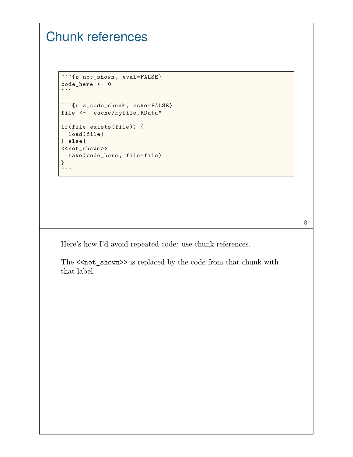# Chunk references

```
```{r not_shown , eval=FALSE}
code_here <- 0
\ddot{\phantom{0}}```{r a_code_chunk , echo=FALSE}
file <- "cache/myfile.RData"
if(file.exists(file)) {
 load(file)
} else{
\langle<not_shown>>
  save(code_here , file=file)
}
\ddotsc
```
Here's how I'd avoid repeated code: use chunk references.

The <<not\_shown>> is replaced by the code from that chunk with that label.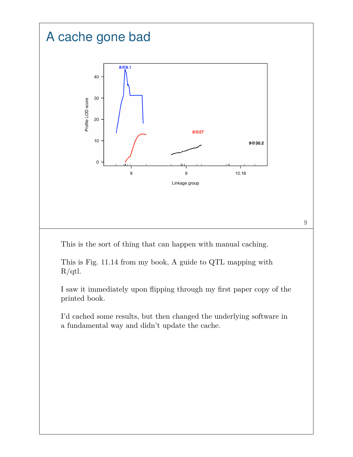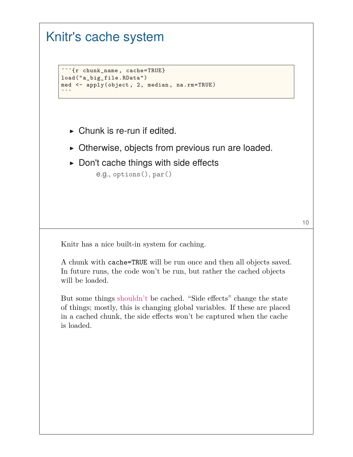#### Knitr's cache system

```
```{r chunk_name , cache=TRUE}
load("a_big_file.RData")
med <- apply(object, 2, median, na.rm=TRUE)
\ddot{\phantom{0}}
```
- $\triangleright$  Chunk is re-run if edited.
- ▶ Otherwise, objects from previous run are loaded.
- $\triangleright$  Don't cache things with side effects

e.g., options(), par()

Knitr has a nice built-in system for caching.

A chunk with cache=TRUE will be run once and then all objects saved. In future runs, the code won't be run, but rather the cached objects will be loaded.

But some things shouldn't be cached. "Side effects" change the state of things; mostly, this is changing global variables. If these are placed in a cached chunk, the side effects won't be captured when the cache is loaded.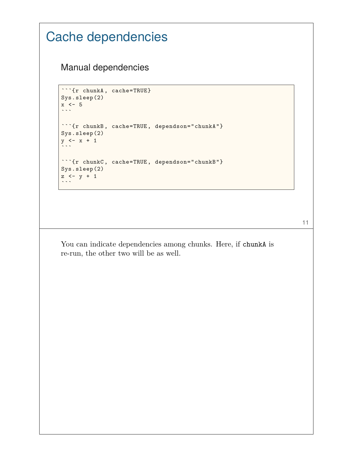```
Cache dependencies
    Manual dependencies
    ```{r chunkA, cache=TRUE}
    Sys.sleep(2)
    x \le -5\sim```{r chunkB, cache=TRUE, dependson="chunkA"}
    Sys.sleep(2)
    y \leftarrow x + 1\ddot{\phantom{0}}```{r chunkC, cache=TRUE, dependson="chunkB"}
    Sys.sleep(2)
    z \leftarrow y + 1\ddotsc
```
11

You can indicate dependencies among chunks. Here, if chunkA is re-run, the other two will be as well.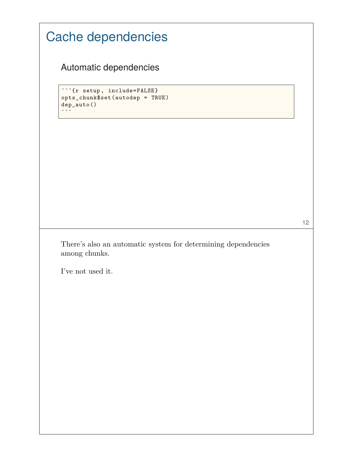| Cache dependencies                                                                            |    |  |
|-----------------------------------------------------------------------------------------------|----|--|
| Automatic dependencies                                                                        |    |  |
| ```{r setup, include=FALSE}<br>opts_chunk\$set(autodep = TRUE)<br>dep_auto()<br>$\sim$ $\sim$ |    |  |
|                                                                                               |    |  |
|                                                                                               |    |  |
|                                                                                               |    |  |
| There's also an automatic system for determining dependencies<br>among chunks.                | 12 |  |
| I've not used it.                                                                             |    |  |
|                                                                                               |    |  |
|                                                                                               |    |  |
|                                                                                               |    |  |
|                                                                                               |    |  |

 $\overline{\phantom{a}}$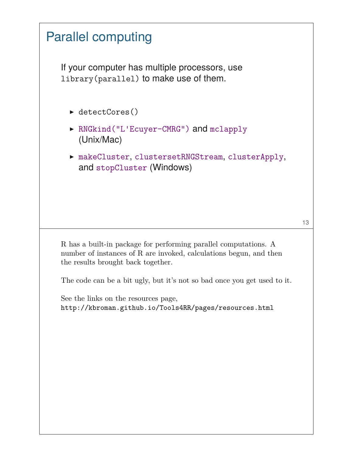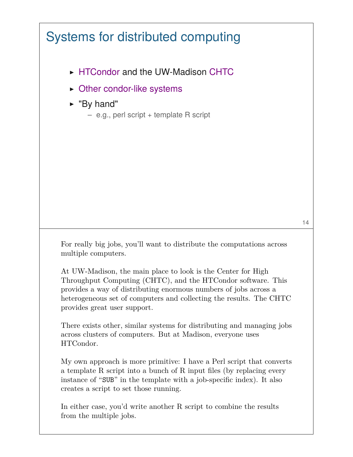# Systems for distributed computing

- ▶ HTCondor and the UW-Madison CHTC
- ▶ Other condor-like systems
- ▶ "By hand"
	- e.g., perl script + template R script

For really big jobs, you'll want to distribute the computations across multiple computers.

At UW-Madison, the main place to look is the Center for High Throughput Computing (CHTC), and the HTCondor software. This provides a way of distributing enormous numbers of jobs across a heterogeneous set of computers and collecting the results. The CHTC provides great user support.

There exists other, similar systems for distributing and managing jobs across clusters of computers. But at Madison, everyone uses HTCondor.

My own approach is more primitive: I have a Perl script that converts a template R script into a bunch of R input files (by replacing every instance of "SUB" in the template with a job-specific index). It also creates a script to set those running.

In either case, you'd write another R script to combine the results from the multiple jobs.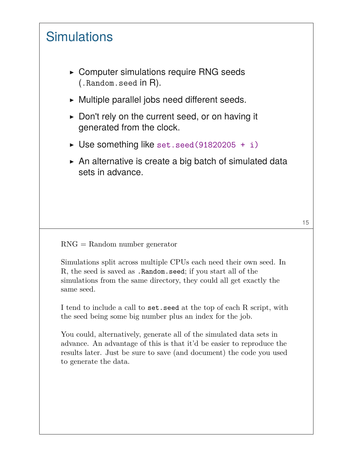## **Simulations**

- ▶ Computer simulations require RNG seeds (.Random.seed in R).
- ▶ Multiple parallel jobs need different seeds.
- ▶ Don't rely on the current seed, or on having it generated from the clock.
- $\triangleright$  Use something like set.seed(91820205 + i)
- $\triangleright$  An alternative is create a big batch of simulated data sets in advance.

RNG = Random number generator

Simulations split across multiple CPUs each need their own seed. In R, the seed is saved as .Random.seed; if you start all of the simulations from the same directory, they could all get exactly the same seed.

I tend to include a call to set.seed at the top of each R script, with the seed being some big number plus an index for the job.

You could, alternatively, generate all of the simulated data sets in advance. An advantage of this is that it'd be easier to reproduce the results later. Just be sure to save (and document) the code you used to generate the data.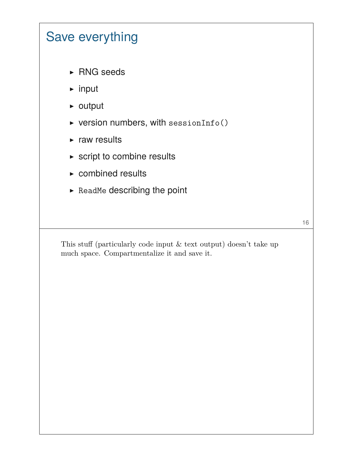# Save everything

- ▶ RNG seeds
- ▶ input
- ▶ output
- $\triangleright$  version numbers, with sessionInfo()
- $\triangleright$  raw results
- $\triangleright$  script to combine results
- $\triangleright$  combined results
- ▶ ReadMe describing the point

16

This stuff (particularly code input & text output) doesn't take up much space. Compartmentalize it and save it.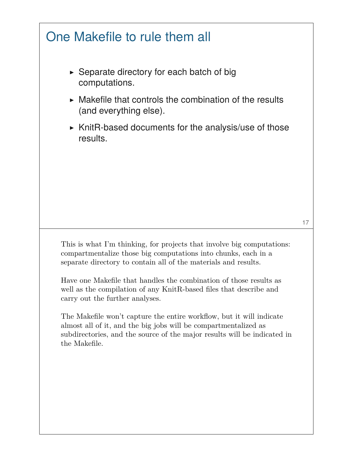# One Makefile to rule them all

- $\triangleright$  Separate directory for each batch of big computations.
- $\triangleright$  Makefile that controls the combination of the results (and everything else).
- $\triangleright$  KnitR-based documents for the analysis/use of those results.

This is what I'm thinking, for projects that involve big computations: compartmentalize those big computations into chunks, each in a separate directory to contain all of the materials and results.

Have one Makefile that handles the combination of those results as well as the compilation of any KnitR-based files that describe and carry out the further analyses.

The Makefile won't capture the entire workflow, but it will indicate almost all of it, and the big jobs will be compartmentalized as subdirectories, and the source of the major results will be indicated in the Makefile.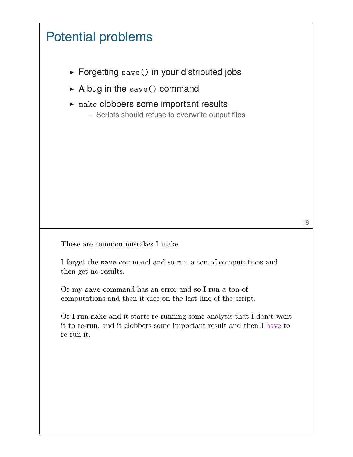# Potential problems

- ▶ Forgetting save() in your distributed jobs
- $\triangleright$  A bug in the save() command
- $\blacktriangleright$  make clobbers some important results
	- Scripts should refuse to overwrite output files

These are common mistakes I make.

I forget the save command and so run a ton of computations and then get no results.

Or my save command has an error and so I run a ton of computations and then it dies on the last line of the script.

Or I run make and it starts re-running some analysis that I don't want it to re-run, and it clobbers some important result and then I have to re-run it.